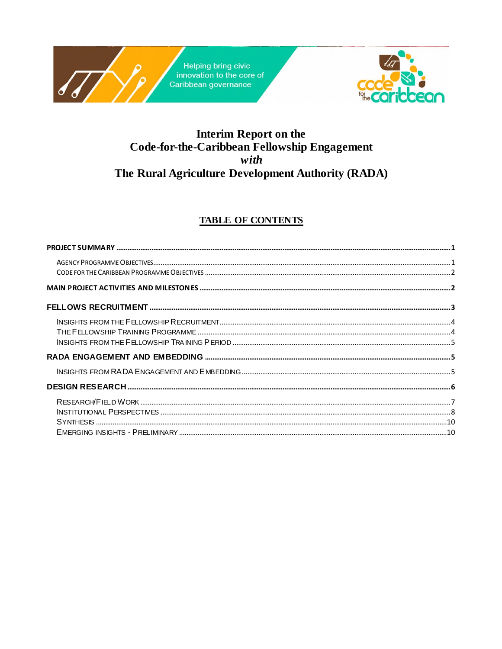

## **Interim Report on the** Code-for-the-Caribbean Fellowship Engagement with The Rural Agriculture Development Authority (RADA)

### **TABLE OF CONTENTS**

| INSTITUTIONAL PERSPECTIVES |  |
|----------------------------|--|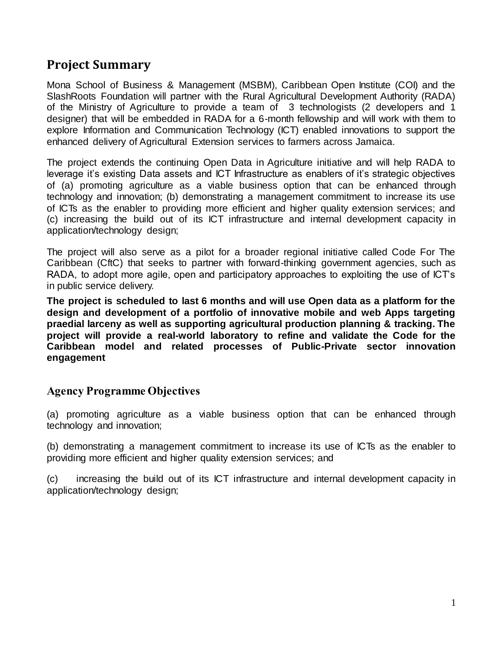## <span id="page-1-0"></span>**Project Summary**

Mona School of Business & Management (MSBM), Caribbean Open Institute (COI) and the SlashRoots Foundation will partner with the Rural Agricultural Development Authority (RADA) of the Ministry of Agriculture to provide a team of 3 technologists (2 developers and 1 designer) that will be embedded in RADA for a 6-month fellowship and will work with them to explore Information and Communication Technology (ICT) enabled innovations to support the enhanced delivery of Agricultural Extension services to farmers across Jamaica.

The project extends the continuing Open Data in Agriculture initiative and will help RADA to leverage it's existing Data assets and ICT Infrastructure as enablers of it's strategic objectives of (a) promoting agriculture as a viable business option that can be enhanced through technology and innovation; (b) demonstrating a management commitment to increase its use of ICTs as the enabler to providing more efficient and higher quality extension services; and (c) increasing the build out of its ICT infrastructure and internal development capacity in application/technology design;

The project will also serve as a pilot for a broader regional initiative called Code For The Caribbean (CftC) that seeks to partner with forward-thinking government agencies, such as RADA, to adopt more agile, open and participatory approaches to exploiting the use of ICT's in public service delivery.

**The project is scheduled to last 6 months and will use Open data as a platform for the design and development of a portfolio of innovative mobile and web Apps targeting praedial larceny as well as supporting agricultural production planning & tracking. The project will provide a real-world laboratory to refine and validate the Code for the Caribbean model and related processes of Public-Private sector innovation engagement**

### <span id="page-1-1"></span>**Agency Programme Objectives**

(a) promoting agriculture as a viable business option that can be enhanced through technology and innovation;

(b) demonstrating a management commitment to increase its use of ICTs as the enabler to providing more efficient and higher quality extension services; and

(c) increasing the build out of its ICT infrastructure and internal development capacity in application/technology design;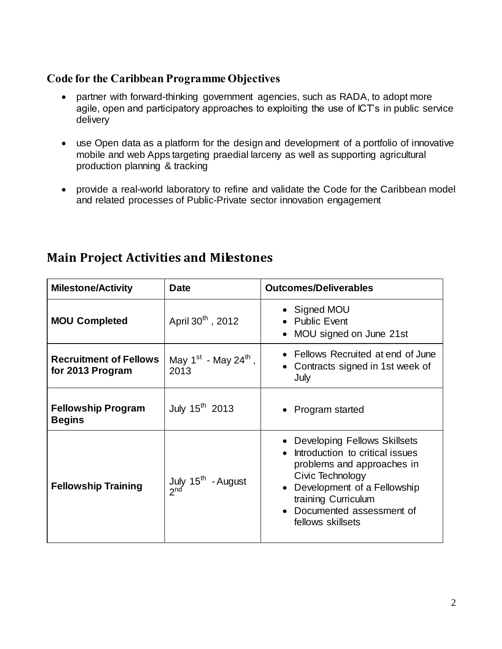## <span id="page-2-0"></span>**Code for the Caribbean Programme Objectives**

- partner with forward-thinking government agencies, such as RADA, to adopt more agile, open and participatory approaches to exploiting the use of ICT's in public service delivery
- use Open data as a platform for the design and development of a portfolio of innovative mobile and web Apps targeting praedial larceny as well as supporting agricultural production planning & tracking
- provide a real-world laboratory to refine and validate the Code for the Caribbean model and related processes of Public-Private sector innovation engagement

| <b>Milestone/Activity</b>                         | <b>Date</b>                                       | <b>Outcomes/Deliverables</b>                                                                                                                                                                                                          |
|---------------------------------------------------|---------------------------------------------------|---------------------------------------------------------------------------------------------------------------------------------------------------------------------------------------------------------------------------------------|
| <b>MOU Completed</b>                              | April 30 <sup>th</sup> , 2012                     | • Signed MOU<br><b>Public Event</b><br>MOU signed on June 21st                                                                                                                                                                        |
| <b>Recruitment of Fellows</b><br>for 2013 Program | May $1^{st}$ - May 24 <sup>th</sup> ,<br>2013     | Fellows Recruited at end of June<br>Contracts signed in 1st week of<br>July                                                                                                                                                           |
| <b>Fellowship Program</b><br><b>Begins</b>        | July 15 <sup>th</sup> 2013                        | • Program started                                                                                                                                                                                                                     |
| <b>Fellowship Training</b>                        | July 15 <sup>th</sup> - August<br>2 <sup>nd</sup> | Developing Fellows Skillsets<br>Introduction to critical issues<br>problems and approaches in<br>Civic Technology<br>Development of a Fellowship<br>$\bullet$<br>training Curriculum<br>Documented assessment of<br>fellows skillsets |

# <span id="page-2-1"></span>**Main Project Activities and Milestones**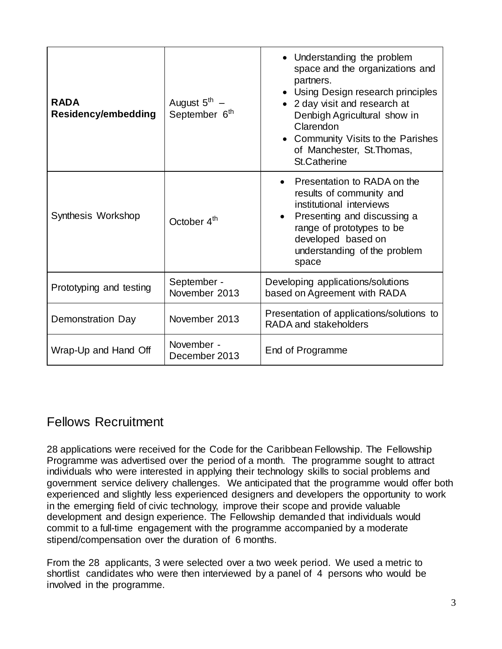| <b>RADA</b><br><b>Residency/embedding</b> | August 5 <sup>th</sup><br>September 6 <sup>th</sup> | • Understanding the problem<br>space and the organizations and<br>partners.<br>• Using Design research principles<br>• 2 day visit and research at<br>Denbigh Agricultural show in<br>Clarendon<br>• Community Visits to the Parishes<br>of Manchester, St. Thomas,<br><b>St.Catherine</b> |
|-------------------------------------------|-----------------------------------------------------|--------------------------------------------------------------------------------------------------------------------------------------------------------------------------------------------------------------------------------------------------------------------------------------------|
| Synthesis Workshop                        | October 4 <sup>th</sup>                             | Presentation to RADA on the<br>results of community and<br>institutional interviews<br>Presenting and discussing a<br>range of prototypes to be<br>developed based on<br>understanding of the problem<br>space                                                                             |
| Prototyping and testing                   | September -<br>November 2013                        | Developing applications/solutions<br>based on Agreement with RADA                                                                                                                                                                                                                          |
| <b>Demonstration Day</b>                  | November 2013                                       | Presentation of applications/solutions to<br>RADA and stakeholders                                                                                                                                                                                                                         |
| Wrap-Up and Hand Off                      | November -<br>December 2013                         | End of Programme                                                                                                                                                                                                                                                                           |

## <span id="page-3-0"></span>Fellows Recruitment

28 applications were received for the Code for the Caribbean Fellowship. The Fellowship Programme was advertised over the period of a month. The programme sought to attract individuals who were interested in applying their technology skills to social problems and government service delivery challenges. We anticipated that the programme would offer both experienced and slightly less experienced designers and developers the opportunity to work in the emerging field of civic technology, improve their scope and provide valuable development and design experience. The Fellowship demanded that individuals would commit to a full-time engagement with the programme accompanied by a moderate stipend/compensation over the duration of 6 months.

From the 28 applicants, 3 were selected over a two week period. We used a metric to shortlist candidates who were then interviewed by a panel of 4 persons who would be involved in the programme.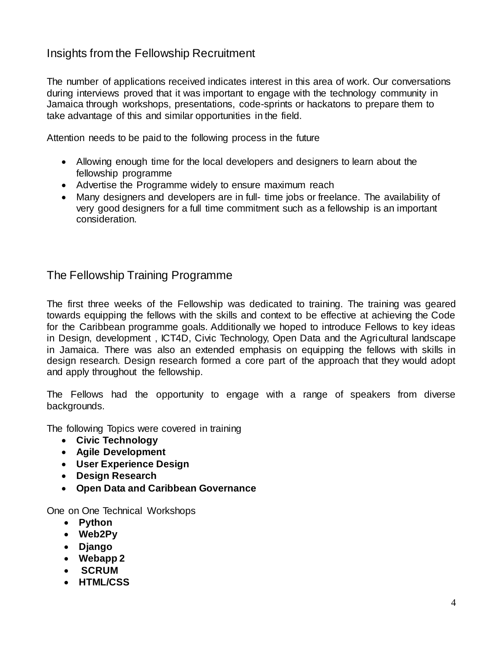## <span id="page-4-0"></span>Insights from the Fellowship Recruitment

The number of applications received indicates interest in this area of work. Our conversations during interviews proved that it was important to engage with the technology community in Jamaica through workshops, presentations, code-sprints or hackatons to prepare them to take advantage of this and similar opportunities in the field.

Attention needs to be paid to the following process in the future

- Allowing enough time for the local developers and designers to learn about the fellowship programme
- Advertise the Programme widely to ensure maximum reach
- Many designers and developers are in full- time jobs or freelance. The availability of very good designers for a full time commitment such as a fellowship is an important consideration.

<span id="page-4-1"></span>The Fellowship Training Programme

The first three weeks of the Fellowship was dedicated to training. The training was geared towards equipping the fellows with the skills and context to be effective at achieving the Code for the Caribbean programme goals. Additionally we hoped to introduce Fellows to key ideas in Design, development , ICT4D, Civic Technology, Open Data and the Agricultural landscape in Jamaica. There was also an extended emphasis on equipping the fellows with skills in design research. Design research formed a core part of the approach that they would adopt and apply throughout the fellowship.

The Fellows had the opportunity to engage with a range of speakers from diverse backgrounds.

The following Topics were covered in training

- **Civic Technology**
- **Agile Development**
- **User Experience Design**
- **Design Research**
- **Open Data and Caribbean Governance**

One on One Technical Workshops

- **Python**
- **Web2Py**
- **Django**
- **Webapp 2**
- **SCRUM**
- **HTML/CSS**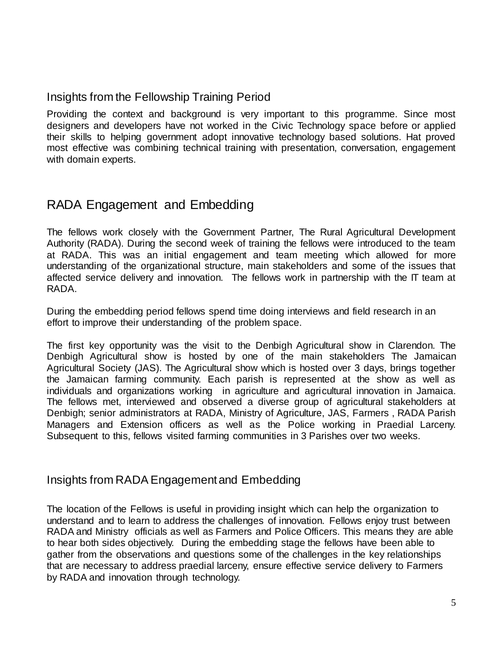## <span id="page-5-0"></span>Insights from the Fellowship Training Period

Providing the context and background is very important to this programme. Since most designers and developers have not worked in the Civic Technology space before or applied their skills to helping government adopt innovative technology based solutions. Hat proved most effective was combining technical training with presentation, conversation, engagement with domain experts.

## <span id="page-5-1"></span>RADA Engagement and Embedding

The fellows work closely with the Government Partner, The Rural Agricultural Development Authority (RADA). During the second week of training the fellows were introduced to the team at RADA. This was an initial engagement and team meeting which allowed for more understanding of the organizational structure, main stakeholders and some of the issues that affected service delivery and innovation. The fellows work in partnership with the IT team at RADA.

During the embedding period fellows spend time doing interviews and field research in an effort to improve their understanding of the problem space.

The first key opportunity was the visit to the Denbigh Agricultural show in Clarendon. The Denbigh Agricultural show is hosted by one of the main stakeholders The Jamaican Agricultural Society (JAS). The Agricultural show which is hosted over 3 days, brings together the Jamaican farming community. Each parish is represented at the show as well as individuals and organizations working in agriculture and agricultural innovation in Jamaica. The fellows met, interviewed and observed a diverse group of agricultural stakeholders at Denbigh; senior administrators at RADA, Ministry of Agriculture, JAS, Farmers , RADA Parish Managers and Extension officers as well as the Police working in Praedial Larceny. Subsequent to this, fellows visited farming communities in 3 Parishes over two weeks.

### <span id="page-5-2"></span>Insights from RADA Engagement and Embedding

The location of the Fellows is useful in providing insight which can help the organization to understand and to learn to address the challenges of innovation. Fellows enjoy trust between RADA and Ministry officials as well as Farmers and Police Officers. This means they are able to hear both sides objectively. During the embedding stage the fellows have been able to gather from the observations and questions some of the challenges in the key relationships that are necessary to address praedial larceny, ensure effective service delivery to Farmers by RADA and innovation through technology.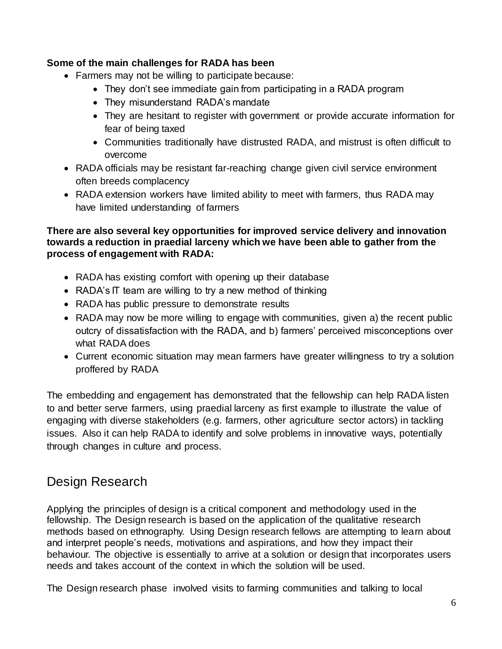#### **Some of the main challenges for RADA has been**

- Farmers may not be willing to participate because:
	- They don't see immediate gain from participating in a RADA program
	- They misunderstand RADA's mandate
	- They are hesitant to register with government or provide accurate information for fear of being taxed
	- Communities traditionally have distrusted RADA, and mistrust is often difficult to overcome
- RADA officials may be resistant far-reaching change given civil service environment often breeds complacency
- RADA extension workers have limited ability to meet with farmers, thus RADA may have limited understanding of farmers

#### **There are also several key opportunities for improved service delivery and innovation towards a reduction in praedial larceny which we have been able to gather from the process of engagement with RADA:**

- RADA has existing comfort with opening up their database
- RADA's IT team are willing to try a new method of thinking
- RADA has public pressure to demonstrate results
- RADA may now be more willing to engage with communities, given a) the recent public outcry of dissatisfaction with the RADA, and b) farmers' perceived misconceptions over what RADA does
- Current economic situation may mean farmers have greater willingness to try a solution proffered by RADA

The embedding and engagement has demonstrated that the fellowship can help RADA listen to and better serve farmers, using praedial larceny as first example to illustrate the value of engaging with diverse stakeholders (e.g. farmers, other agriculture sector actors) in tackling issues. Also it can help RADA to identify and solve problems in innovative ways, potentially through changes in culture and process.

## <span id="page-6-0"></span>Design Research

Applying the principles of design is a critical component and methodology used in the fellowship. The Design research is based on the application of the qualitative research methods based on ethnography. Using Design research fellows are attempting to learn about and interpret people's needs, motivations and aspirations, and how they impact their behaviour. The objective is essentially to arrive at a solution or design that incorporates users needs and takes account of the context in which the solution will be used.

The Design research phase involved visits to farming communities and talking to local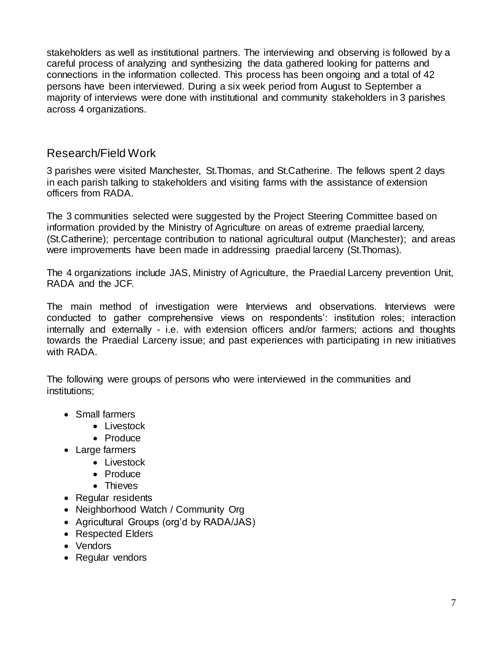stakeholders as well as institutional partners. The interviewing and observing is followed by a careful process of analyzing and synthesizing the data gathered looking for patterns and connections in the information collected. This process has been ongoing and a total of 42 persons have been interviewed. During a six week period from August to September a majority of interviews were done with institutional and community stakeholders in 3 parishes across 4 organizations.

## <span id="page-7-0"></span>Research/Field Work

3 parishes were visited Manchester, St.Thomas, and St.Catherine. The fellows spent 2 days in each parish talking to stakeholders and visiting farms with the assistance of extension officers from RADA.

The 3 communities selected were suggested by the Project Steering Committee based on information provided by the Ministry of Agriculture on areas of extreme praedial larceny, (St.Catherine); percentage contribution to national agricultural output (Manchester); and areas were improvements have been made in addressing praedial larceny (St.Thomas).

The 4 organizations include JAS, Ministry of Agriculture, the Praedial Larceny prevention Unit, RADA and the JCF.

The main method of investigation were Interviews and observations. Interviews were conducted to gather comprehensive views on respondents': institution roles; interaction internally and externally - i.e. with extension officers and/or farmers; actions and thoughts towards the Praedial Larceny issue; and past experiences with participating in new initiatives with RADA.

The following were groups of persons who were interviewed in the communities and institutions;

- Small farmers
	- Livestock
	- Produce
- Large farmers
	- Livestock
	- Produce
	- Thieves
- Regular residents
- Neighborhood Watch / Community Org
- Agricultural Groups (org'd by RADA/JAS)
- Respected Elders
- Vendors
- Regular vendors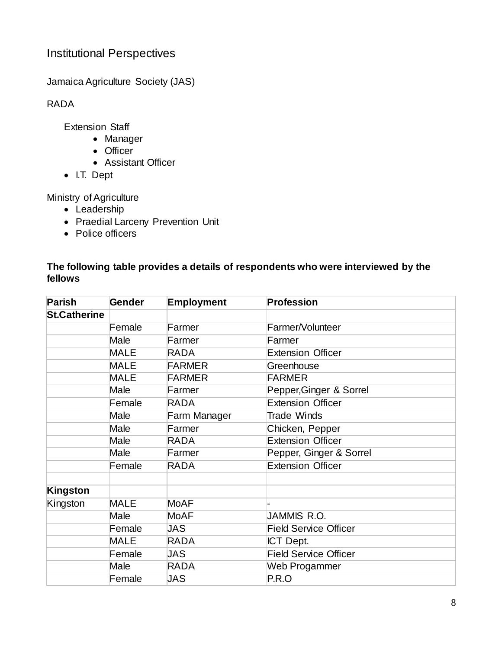## <span id="page-8-0"></span>Institutional Perspectives

Jamaica Agriculture Society (JAS)

RADA

Extension Staff

- Manager
- Officer
- Assistant Officer
- I.T. Dept

Ministry of Agriculture

- Leadership
- Praedial Larceny Prevention Unit
- Police officers

#### **The following table provides a details of respondents who were interviewed by the fellows**

| <b>Parish</b>       | Gender      | <b>Employment</b> | <b>Profession</b>            |
|---------------------|-------------|-------------------|------------------------------|
| <b>St.Catherine</b> |             |                   |                              |
|                     | Female      | Farmer            | Farmer/Volunteer             |
|                     | Male        | Farmer            | Farmer                       |
|                     | <b>MALE</b> | <b>RADA</b>       | <b>Extension Officer</b>     |
|                     | <b>MALE</b> | <b>FARMER</b>     | Greenhouse                   |
|                     | <b>MALE</b> | <b>FARMER</b>     | <b>FARMER</b>                |
|                     | Male        | Farmer            | Pepper, Ginger & Sorrel      |
|                     | Female      | <b>RADA</b>       | <b>Extension Officer</b>     |
|                     | Male        | Farm Manager      | <b>Trade Winds</b>           |
|                     | Male        | Farmer            | Chicken, Pepper              |
|                     | Male        | RADA              | <b>Extension Officer</b>     |
|                     | Male        | Farmer            | Pepper, Ginger & Sorrel      |
|                     | Female      | <b>RADA</b>       | <b>Extension Officer</b>     |
|                     |             |                   |                              |
| Kingston            |             |                   |                              |
| Kingston            | <b>MALE</b> | <b>MoAF</b>       |                              |
|                     | Male        | <b>MoAF</b>       | JAMMIS R.O.                  |
|                     | Female      | JAS               | <b>Field Service Officer</b> |
|                     | <b>MALE</b> | <b>RADA</b>       | ICT Dept.                    |
|                     | Female      | JAS               | <b>Field Service Officer</b> |
|                     | Male        | <b>RADA</b>       | Web Progammer                |
|                     | Female      | JAS               | P.R.O                        |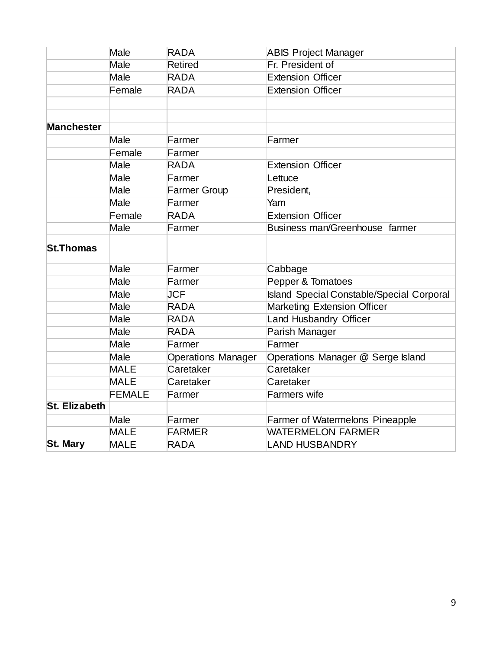|                      | Male          | <b>RADA</b>               | <b>ABIS Project Manager</b>                      |
|----------------------|---------------|---------------------------|--------------------------------------------------|
|                      | Male          | <b>Retired</b>            | Fr. President of                                 |
|                      | Male          | <b>RADA</b>               | <b>Extension Officer</b>                         |
|                      | Female        | <b>RADA</b>               | <b>Extension Officer</b>                         |
|                      |               |                           |                                                  |
|                      |               |                           |                                                  |
| <b>Manchester</b>    |               |                           |                                                  |
|                      | Male          | Farmer                    | Farmer                                           |
|                      | Female        | Farmer                    |                                                  |
|                      | Male          | <b>RADA</b>               | <b>Extension Officer</b>                         |
|                      | Male          | Farmer                    | Lettuce                                          |
|                      | Male          | <b>Farmer Group</b>       | President,                                       |
|                      | Male          | Farmer                    | Yam                                              |
|                      | Female        | <b>RADA</b>               | <b>Extension Officer</b>                         |
|                      | Male          | Farmer                    | Business man/Greenhouse farmer                   |
| <b>St.Thomas</b>     |               |                           |                                                  |
|                      | Male          | Farmer                    | Cabbage                                          |
|                      | Male          | Farmer                    | Pepper & Tomatoes                                |
|                      | Male          | <b>JCF</b>                | <b>Island Special Constable/Special Corporal</b> |
|                      | Male          | <b>RADA</b>               | <b>Marketing Extension Officer</b>               |
|                      | Male          | <b>RADA</b>               | Land Husbandry Officer                           |
|                      | Male          | <b>RADA</b>               | Parish Manager                                   |
|                      | Male          | Farmer                    | Farmer                                           |
|                      | Male          | <b>Operations Manager</b> | Operations Manager @ Serge Island                |
|                      | <b>MALE</b>   | Caretaker                 | Caretaker                                        |
|                      | <b>MALE</b>   | Caretaker                 | Caretaker                                        |
|                      | <b>FEMALE</b> | Farmer                    | <b>Farmers</b> wife                              |
| <b>St. Elizabeth</b> |               |                           |                                                  |
|                      | Male          | Farmer                    | Farmer of Watermelons Pineapple                  |
|                      | <b>MALE</b>   | <b>FARMER</b>             | <b>WATERMELON FARMER</b>                         |
| <b>St. Mary</b>      | <b>MALE</b>   | <b>RADA</b>               | <b>LAND HUSBANDRY</b>                            |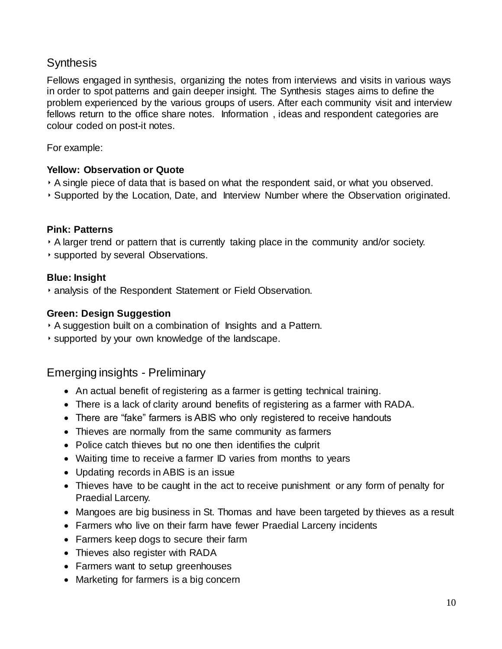## <span id="page-10-0"></span>**Synthesis**

Fellows engaged in synthesis, organizing the notes from interviews and visits in various ways in order to spot patterns and gain deeper insight. The Synthesis stages aims to define the problem experienced by the various groups of users. After each community visit and interview fellows return to the office share notes. Information , ideas and respondent categories are colour coded on post-it notes.

For example:

#### **Yellow: Observation or Quote**

- ‣ A single piece of data that is based on what the respondent said, or what you observed.
- ‣ Supported by the Location, Date, and Interview Number where the Observation originated.

#### **Pink: Patterns**

- ‣ A larger trend or pattern that is currently taking place in the community and/or society.
- ‣ supported by several Observations.

#### **Blue: Insight**

‣ analysis of the Respondent Statement or Field Observation.

#### **Green: Design Suggestion**

- ‣ A suggestion built on a combination of Insights and a Pattern.
- ‣ supported by your own knowledge of the landscape.

### <span id="page-10-1"></span>Emerging insights - Preliminary

- An actual benefit of registering as a farmer is getting technical training.
- There is a lack of clarity around benefits of registering as a farmer with RADA.
- There are "fake" farmers is ABIS who only registered to receive handouts
- Thieves are normally from the same community as farmers
- Police catch thieves but no one then identifies the culprit
- Waiting time to receive a farmer ID varies from months to years
- Updating records in ABIS is an issue
- Thieves have to be caught in the act to receive punishment or any form of penalty for Praedial Larceny.
- Mangoes are big business in St. Thomas and have been targeted by thieves as a result
- Farmers who live on their farm have fewer Praedial Larceny incidents
- Farmers keep dogs to secure their farm
- Thieves also register with RADA
- Farmers want to setup greenhouses
- Marketing for farmers is a big concern